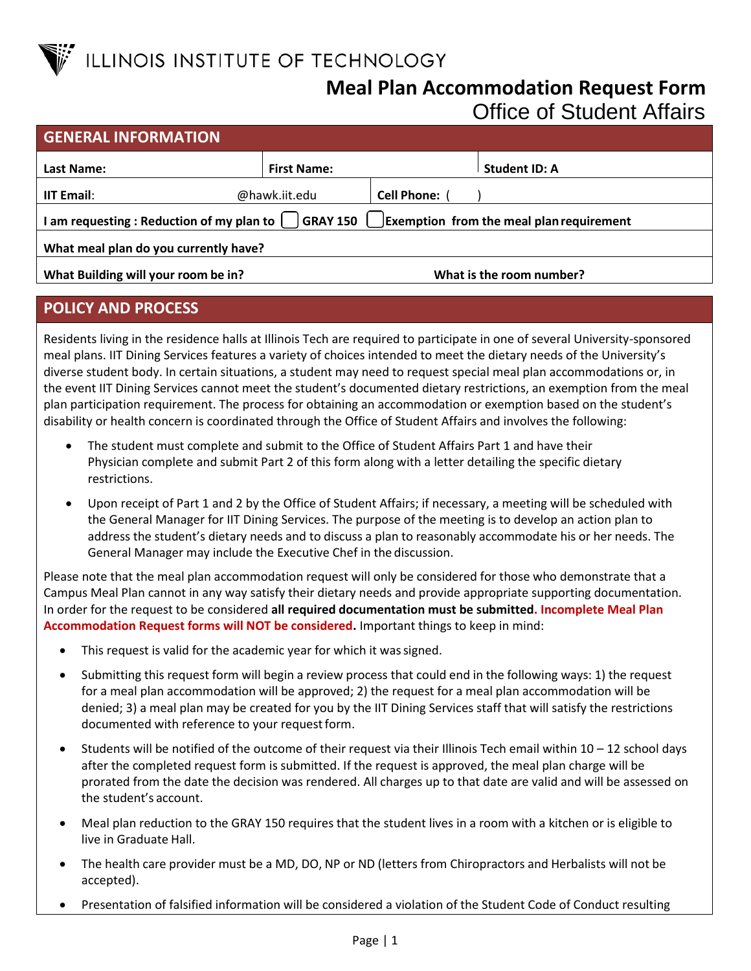

## **Meal Plan Accommodation Request Form** Office of Student Affairs

| <b>GENERAL INFORMATION</b>                                                                                |                              |  |                          |  |  |
|-----------------------------------------------------------------------------------------------------------|------------------------------|--|--------------------------|--|--|
| Last Name:                                                                                                | <b>First Name:</b>           |  | Student ID: A            |  |  |
| <b>IIT Email:</b>                                                                                         | @hawk.iit.edu<br>Cell Phone: |  |                          |  |  |
| I am requesting : Reduction of my plan to $\Box$ GRAY 150 $\Box$ Exemption from the meal plan requirement |                              |  |                          |  |  |
| What meal plan do you currently have?                                                                     |                              |  |                          |  |  |
| What Building will your room be in?                                                                       |                              |  | What is the room number? |  |  |

## **POLICY AND PROCESS**

Residents living in the residence halls at Illinois Tech are required to participate in one of several University-sponsored meal plans. IIT Dining Services features a variety of choices intended to meet the dietary needs of the University's diverse student body. In certain situations, a student may need to request special meal plan accommodations or, in the event IIT Dining Services cannot meet the student's documented dietary restrictions, an exemption from the meal plan participation requirement. The process for obtaining an accommodation or exemption based on the student's disability or health concern is coordinated through the Office of Student Affairs and involves the following:

- The student must complete and submit to the Office of Student Affairs Part 1 and have their Physician complete and submit Part 2 of this form along with a letter detailing the specific dietary restrictions.
- Upon receipt of Part 1 and 2 by the Office of Student Affairs; if necessary, a meeting will be scheduled with the General Manager for IIT Dining Services. The purpose of the meeting is to develop an action plan to address the student's dietary needs and to discuss a plan to reasonably accommodate his or her needs. The General Manager may include the Executive Chef in the discussion.

Please note that the meal plan accommodation request will only be considered for those who demonstrate that a Campus Meal Plan cannot in any way satisfy their dietary needs and provide appropriate supporting documentation. In order for the request to be considered **all required documentation must be submitted. Incomplete Meal Plan Accommodation Request forms will NOT be considered.** Important things to keep in mind:

- This request is valid for the academic year for which it wassigned.
- Submitting this request form will begin a review process that could end in the following ways: 1) the request for a meal plan accommodation will be approved; 2) the request for a meal plan accommodation will be denied; 3) a meal plan may be created for you by the IIT Dining Services staff that will satisfy the restrictions documented with reference to your request form.
- Students will be notified of the outcome of their request via their Illinois Tech email within 10 12 school days after the completed request form is submitted. If the request is approved, the meal plan charge will be prorated from the date the decision was rendered. All charges up to that date are valid and will be assessed on the student's account.
- Meal plan reduction to the GRAY 150 requires that the student lives in a room with a kitchen or is eligible to live in Graduate Hall.
- The health care provider must be a MD, DO, NP or ND (letters from Chiropractors and Herbalists will not be accepted).
- Presentation of falsified information will be considered a violation of the Student Code of Conduct resulting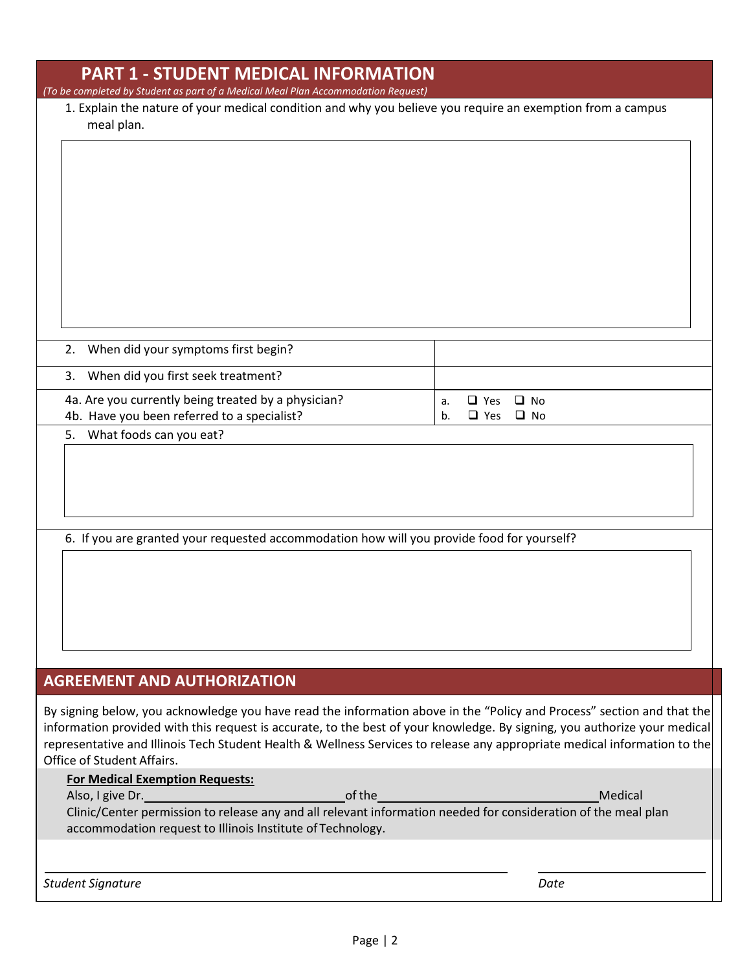| <b>PART 1 - STUDENT MEDICAL INFORMATION</b><br>(To be completed by Student as part of a Medical Meal Plan Accommodation Request) |                                                                                                                                                                                                                                                        |
|----------------------------------------------------------------------------------------------------------------------------------|--------------------------------------------------------------------------------------------------------------------------------------------------------------------------------------------------------------------------------------------------------|
| meal plan.                                                                                                                       | 1. Explain the nature of your medical condition and why you believe you require an exemption from a campus                                                                                                                                             |
|                                                                                                                                  |                                                                                                                                                                                                                                                        |
|                                                                                                                                  |                                                                                                                                                                                                                                                        |
|                                                                                                                                  |                                                                                                                                                                                                                                                        |
|                                                                                                                                  |                                                                                                                                                                                                                                                        |
|                                                                                                                                  |                                                                                                                                                                                                                                                        |
|                                                                                                                                  |                                                                                                                                                                                                                                                        |
| When did your symptoms first begin?<br>2.                                                                                        |                                                                                                                                                                                                                                                        |
| When did you first seek treatment?<br>3.                                                                                         |                                                                                                                                                                                                                                                        |
| 4a. Are you currently being treated by a physician?<br>4b. Have you been referred to a specialist?                               | $\Box$ Yes<br>$\Box$ No<br>a.<br>$\Box$ Yes<br>$\Box$ No<br>b.                                                                                                                                                                                         |
| What foods can you eat?<br>5.                                                                                                    |                                                                                                                                                                                                                                                        |
|                                                                                                                                  |                                                                                                                                                                                                                                                        |
|                                                                                                                                  |                                                                                                                                                                                                                                                        |
|                                                                                                                                  |                                                                                                                                                                                                                                                        |
| 6. If you are granted your requested accommodation how will you provide food for yourself?                                       |                                                                                                                                                                                                                                                        |
|                                                                                                                                  |                                                                                                                                                                                                                                                        |
|                                                                                                                                  |                                                                                                                                                                                                                                                        |
|                                                                                                                                  |                                                                                                                                                                                                                                                        |
|                                                                                                                                  |                                                                                                                                                                                                                                                        |
| <b>AGREEMENT AND AUTHORIZATION</b>                                                                                               |                                                                                                                                                                                                                                                        |
|                                                                                                                                  | By signing below, you acknowledge you have read the information above in the "Policy and Process" section and that the                                                                                                                                 |
| Office of Student Affairs.                                                                                                       | information provided with this request is accurate, to the best of your knowledge. By signing, you authorize your medical<br>representative and Illinois Tech Student Health & Wellness Services to release any appropriate medical information to the |
| <b>For Medical Exemption Requests:</b>                                                                                           |                                                                                                                                                                                                                                                        |
| $\mathbf{L}$ aive $\mathbf{D}$                                                                                                   |                                                                                                                                                                                                                                                        |

Also, I give Dr. of the Medical Clinic/Center permission to release any and all relevant information needed for consideration of the meal plan accommodation request to Illinois Institute of Technology.

*Student Signature Date*